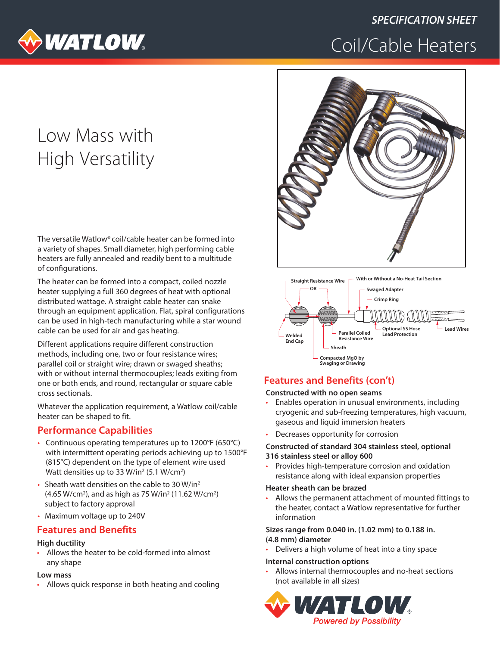

# **SPECIFICATION SHEET** Coil/Cable Heaters

# Low Mass with **High Versatility**

The versatile Watlow® coil/cable heater can be formed into a variety of shapes. Small diameter, high performing cable heaters are fully annealed and readily bent to a multitude of configurations.

The heater can be formed into a compact, coiled nozzle heater supplying a full 360 degrees of heat with optional distributed wattage. A straight cable heater can snake through an equipment application. Flat, spiral configurations can be used in high-tech manufacturing while a star wound cable can be used for air and gas heating.

Different applications require different construction methods, including one, two or four resistance wires; parallel coil or straight wire; drawn or swaged sheaths; with or without internal thermocouples; leads exiting from one or both ends, and round, rectangular or square cable cross sectionals.

Whatever the application requirement, a Watlow coil/cable heater can be shaped to fit.

## **Performance Capabilities**

- Continuous operating temperatures up to 1200°F (650°C) with intermittent operating periods achieving up to 1500°F (815°C) dependent on the type of element wire used Watt densities up to 33 W/in<sup>2</sup> (5.1 W/cm<sup>2</sup>)
- Sheath watt densities on the cable to 30 W/in<sup>2</sup> (4.65 W/cm<sup>2</sup>), and as high as 75 W/in<sup>2</sup> (11.62 W/cm<sup>2</sup>) subject to factory approval
- Maximum voltage up to 240V

## **Features and Benefits**

#### **High ductility**

Allows the heater to be cold-formed into almost any shape

#### Low mass

Allows quick response in both heating and cooling





### **Features and Benefits (con't)**

#### Constructed with no open seams

- Enables operation in unusual environments, including ä. cryogenic and sub-freezing temperatures, high vacuum, gaseous and liquid immersion heaters
- Decreases opportunity for corrosion

#### Constructed of standard 304 stainless steel, optional 316 stainless steel or alloy 600

Provides high-temperature corrosion and oxidation resistance along with ideal expansion properties

#### Heater sheath can be brazed

Allows the permanent attachment of mounted fittings to the heater, contact a Watlow representative for further information

#### Sizes range from 0.040 in. (1.02 mm) to 0.188 in. (4.8 mm) diameter

Delivers a high volume of heat into a tiny space

#### **Internal construction options**

Allows internal thermocouples and no-heat sections (not available in all sizes)

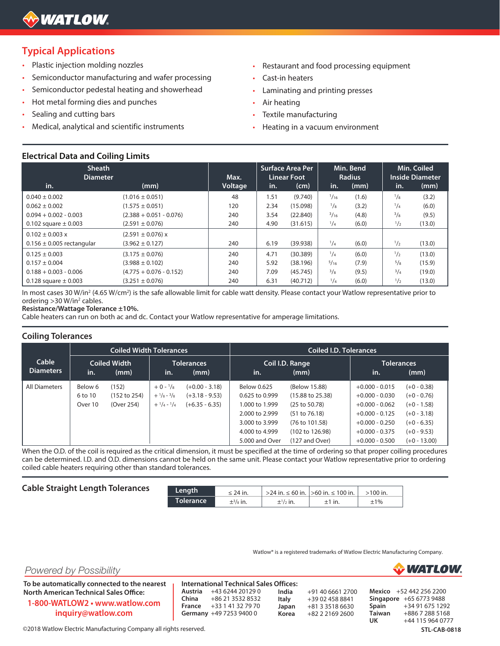## **Typical Applications**

- Plastic injection molding nozzles
- Semiconductor manufacturing and wafer processing  $\bullet$
- Semiconductor pedestal heating and showerhead  $\ddot{\phantom{0}}$
- Hot metal forming dies and punches  $\ddot{\phantom{a}}$
- Sealing and cutting bars
- Medical, analytical and scientific instruments
- Restaurant and food processing equipment .
- Cast-in heaters
- Laminating and printing presses
- Air heating
- Textile manufacturing
- Heating in a vacuum environment

#### **Electrical Data and Coiling Limits**

| <b>Sheath</b><br><b>Diameter</b> |                           | Max.    |      | Surface Area Per<br><b>Linear Foot</b> |              | Min. Bend<br><b>Radius</b> |               | Min. Coiled<br><b>Inside Diameter</b> |
|----------------------------------|---------------------------|---------|------|----------------------------------------|--------------|----------------------------|---------------|---------------------------------------|
| in.                              | (mm)                      | Voltage | in.  | (cm)                                   | in.          | (mm)                       | in.           | (mm)                                  |
| $0.040 \pm 0.002$                | $(1.016 \pm 0.051)$       | 48      | 1.51 | (9.740)                                | 1/16         | (1.6)                      | $^{1}/_{8}$   | (3.2)                                 |
| $0.062 \pm 0.002$                | $(1.575 \pm 0.051)$       | 120     | 2.34 | (15.098)                               | $^{1}/_{8}$  | (3.2)                      | $^{1}/_{4}$   | (6.0)                                 |
| $0.094 + 0.002 - 0.003$          | $(2.388 + 0.051 - 0.076)$ | 240     | 3.54 | (22.840)                               | $^{3}/_{16}$ | (4.8)                      | $^{3}/_{8}$   | (9.5)                                 |
| 0.102 square $\pm$ 0.003         | $(2.591 \pm 0.076)$       | 240     | 4.90 | (31.615)                               | $^{1}/_{4}$  | (6.0)                      | $\frac{1}{2}$ | (13.0)                                |
| $0.102 \pm 0.003 \times$         | $(2.591 \pm 0.076) x$     |         |      |                                        |              |                            |               |                                       |
| $0.156 \pm 0.005$ rectangular    | $(3.962 \pm 0.127)$       | 240     | 6.19 | (39.938)                               | $^{1}/_{4}$  | (6.0)                      | $\frac{1}{2}$ | (13.0)                                |
| $0.125 \pm 0.003$                | $(3.175 \pm 0.076)$       | 240     | 4.71 | (30.389)                               | $^{1}/_{4}$  | (6.0)                      | 1/2           | (13.0)                                |
| $0.157 \pm 0.004$                | $(3.988 \pm 0.102)$       | 240     | 5.92 | (38.196)                               | 5/16         | (7.9)                      | $^{5}/_{8}$   | (15.9)                                |
| $0.188 + 0.003 - 0.006$          | $(4.775 + 0.076 - 0.152)$ | 240     | 7.09 | (45.745)                               | $^{3}/_{8}$  | (9.5)                      | $^{3}/_{4}$   | (19.0)                                |
| 0.128 square $\pm$ 0.003         | $(3.251 \pm 0.076)$       | 240     | 6.31 | (40.712)                               | $^{1}/_{4}$  | (6.0)                      | $\frac{1}{2}$ | (13.0)                                |

In most cases 30 W/in<sup>2</sup> (4.65 W/cm<sup>2</sup>) is the safe allowable limit for cable watt density. Please contact your Watlow representative prior to ordering > 30 W/in<sup>2</sup> cables.

Resistance/Wattage Tolerance ±10%.

Cable heaters can run on both ac and dc. Contact your Watlow representative for amperage limitations.

#### **Coiling Tolerances**

|                           | <b>Coiled Width Tolerances</b> |                                     |                                                                                              |                                                          | <b>Coiled I.D. Tolerances</b>                                                                                           |                                                                                                                                       |                                                                                                                                          |                                                                                                                      |  |  |
|---------------------------|--------------------------------|-------------------------------------|----------------------------------------------------------------------------------------------|----------------------------------------------------------|-------------------------------------------------------------------------------------------------------------------------|---------------------------------------------------------------------------------------------------------------------------------------|------------------------------------------------------------------------------------------------------------------------------------------|----------------------------------------------------------------------------------------------------------------------|--|--|
| Cable<br><b>Diameters</b> | in.                            | Coiled Width<br>(mm)                | in.                                                                                          | Tolerances<br>(mm)                                       | Coil I.D. Range<br>in.<br>(mm)                                                                                          |                                                                                                                                       | <b>Tolerances</b><br>in.                                                                                                                 | (mm)                                                                                                                 |  |  |
| All Diameters             | Below 6<br>6 to 10<br>Over 10  | (152)<br>(152 to 254)<br>(Over 254) | $+0 - \frac{1}{8}$<br>$+$ $\frac{1}{8}$ - $\frac{3}{8}$<br>$+$ $\frac{1}{4}$ - $\frac{1}{4}$ | $(+0.00 - 3.18)$<br>$(+3.18 - 9.53)$<br>$(+6.35 - 6.35)$ | Below 0.625<br>0.625 to 0.999<br>1,000 to 1,999<br>2,000 to 2,999<br>3,000 to 3,999<br>4,000 to 4,999<br>5,000 and Over | (Below 15.88)<br>$(15.88 \text{ to } 25.38)$<br>(25 to 50.78)<br>(51 to 76.18)<br>(76 to 101.58)<br>(102 to 126.98)<br>(127 and Over) | $+0.000 - 0.015$<br>$+0.000 - 0.030$<br>$+0.000 - 0.062$<br>$+0.000 - 0.125$<br>$+0.000 - 0.250$<br>$+0.000 - 0.375$<br>$+0.000 - 0.500$ | $(+0 - 0.38)$<br>$(+0 - 0.76)$<br>$(+0 - 1.58)$<br>$(+0 - 3.18)$<br>$(+0 - 6.35)$<br>$(+0 - 9.53)$<br>$(+0 - 13.00)$ |  |  |

When the O.D. of the coil is required as the critical dimension, it must be specified at the time of ordering so that proper coiling procedures can be determined. I.D. and O.D. dimensions cannot be held on the same unit. Please contact your Watlow representative prior to ordering coiled cable heaters requiring other than standard tolerances.

|  |  |  | <b>Cable Straight Length Tolerances</b> |
|--|--|--|-----------------------------------------|
|--|--|--|-----------------------------------------|

| າces | 'Lenath.  | $\leq$ 24 in.                         |                       | >24 in. ≤ 60 in.  >60 in. ≤ 100 in. | $>100$ in. |  |
|------|-----------|---------------------------------------|-----------------------|-------------------------------------|------------|--|
|      | Tolerance | $\pm$ <sup>3</sup> / <sub>8</sub> in. | $\pm \frac{1}{2}$ in. | $±1$ in.                            | ±1%        |  |

India

Italy

Watlow® is a registered trademarks of Watlow Electric Manufacturing Company.



Powered by Possibility

To be automatically connected to the nearest **North American Technical Sales Office:** 1-800-WATLOW2 • www.watlow.com inquiry@watlow.com

**International Technical Sales Offices:** Austria +43 6244 20129 0 China +86 21 3532 8532 France +33 1 41 32 79 70 Germany +49 7253 9400 0

+91 40 6661 2700 +39 02 458 8841 Japan +81 3 3518 6630 Korea +82 2 2169 2600

Mexico +52 442 256 2200 Singapore +65 6773 9488 Spain +34 91 675 1292 Taiwan +886 7 288 5168 **UK** +44 115 964 0777

©2018 Watlow Electric Manufacturing Company all rights reserved.

**STL-CAB-0818**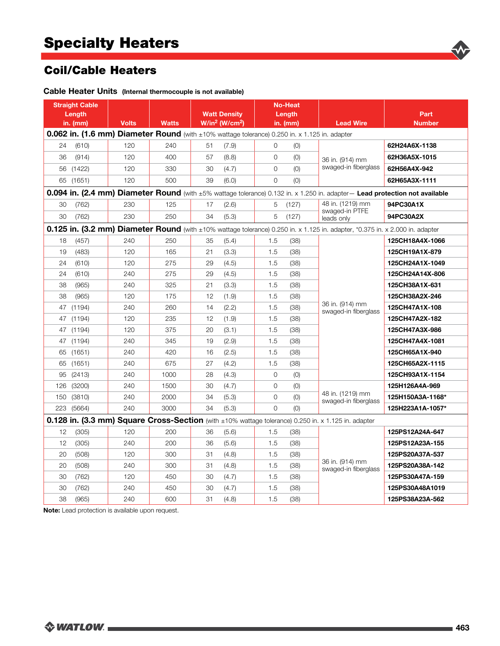# **Coil/Cable Heaters**

|                                                                                               | <b>Straight Cable</b><br>Length<br>in. (mm)                                                                                 | <b>Volts</b> | <b>Watts</b> |    | <b>Watt Density</b><br>W/in <sup>2</sup> (W/cm <sup>2</sup> ) | <b>No-Heat</b><br>Length<br>in. (mm) |       | <b>Lead Wire</b>                                                                                                              | Part<br><b>Number</b> |  |
|-----------------------------------------------------------------------------------------------|-----------------------------------------------------------------------------------------------------------------------------|--------------|--------------|----|---------------------------------------------------------------|--------------------------------------|-------|-------------------------------------------------------------------------------------------------------------------------------|-----------------------|--|
| 0.062 in. (1.6 mm) Diameter Round (with ±10% wattage tolerance) 0.250 in. x 1.125 in. adapter |                                                                                                                             |              |              |    |                                                               |                                      |       |                                                                                                                               |                       |  |
| 24                                                                                            | (610)                                                                                                                       | 120          | 240          | 51 | (7.9)                                                         | $\Omega$                             | (0)   | 36 in. (914) mm                                                                                                               | 62H24A6X-1138         |  |
| 36                                                                                            | (914)                                                                                                                       | 120          | 400          | 57 | (8.8)                                                         | $\mathbf{O}$                         | (0)   |                                                                                                                               | 62H36A5X-1015         |  |
| 56                                                                                            | (1422)                                                                                                                      | 120          | 330          | 30 | (4.7)                                                         | $\Omega$                             | (0)   | swaged-in fiberglass                                                                                                          | 62H56A4X-942          |  |
|                                                                                               | 65 (1651)                                                                                                                   | 120          | 500          | 39 | (6.0)                                                         | $\Omega$                             | (0)   |                                                                                                                               | 62H65A3X-1111         |  |
|                                                                                               | 0.094 in. (2.4 mm) Diameter Round (with ±5% wattage tolerance) 0.132 in. x 1.250 in. adapter- Lead protection not available |              |              |    |                                                               |                                      |       |                                                                                                                               |                       |  |
| 30                                                                                            | (762)                                                                                                                       | 230          | 125          | 17 | (2.6)                                                         | 5                                    | (127) | 48 in. (1219) mm                                                                                                              | 94PC30A1X             |  |
| 30                                                                                            | (762)                                                                                                                       | 230          | 250          | 34 | (5.3)                                                         | 5                                    | (127) | swaged-in PTFE<br>leads only                                                                                                  | 94PC30A2X             |  |
|                                                                                               |                                                                                                                             |              |              |    |                                                               |                                      |       | 0.125 in. (3.2 mm) Diameter Round (with ±10% wattage tolerance) 0.250 in. x 1.125 in. adapter, *0.375 in. x 2.000 in. adapter |                       |  |
| 18                                                                                            | (457)                                                                                                                       | 240          | 250          | 35 | (5.4)                                                         | 1.5                                  | (38)  |                                                                                                                               | 125CH18A4X-1066       |  |
| 19                                                                                            | (483)                                                                                                                       | 120          | 165          | 21 | (3.3)                                                         | 1.5                                  | (38)  |                                                                                                                               | 125CH19A1X-879        |  |
| 24                                                                                            | (610)                                                                                                                       | 120          | 275          | 29 | (4.5)                                                         | 1.5                                  | (38)  | 36 in. (914) mm<br>swaged-in fiberglass                                                                                       | 125CH24A1X-1049       |  |
| 24                                                                                            | (610)                                                                                                                       | 240          | 275          | 29 | (4.5)                                                         | 1.5                                  | (38)  |                                                                                                                               | 125CH24A14X-806       |  |
| 38                                                                                            | (965)                                                                                                                       | 240          | 325          | 21 | (3.3)                                                         | 1.5                                  | (38)  |                                                                                                                               | 125CH38A1X-631        |  |
| 38                                                                                            | (965)                                                                                                                       | 120          | 175          | 12 | (1.9)                                                         | 1.5                                  | (38)  |                                                                                                                               | 125CH38A2X-246        |  |
| 47                                                                                            | (1194)                                                                                                                      | 240          | 260          | 14 | (2.2)                                                         | 1.5                                  | (38)  |                                                                                                                               | 125CH47A1X-108        |  |
| 47                                                                                            | (1194)                                                                                                                      | 120          | 235          | 12 | (1.9)                                                         | 1.5                                  | (38)  |                                                                                                                               | 125CH47A2X-182        |  |
| 47                                                                                            | (1194)                                                                                                                      | 120          | 375          | 20 | (3.1)                                                         | 1.5                                  | (38)  |                                                                                                                               | 125CH47A3X-986        |  |
| 47                                                                                            | (1194)                                                                                                                      | 240          | 345          | 19 | (2.9)                                                         | 1.5                                  | (38)  |                                                                                                                               | 125CH47A4X-1081       |  |
| 65                                                                                            | (1651)                                                                                                                      | 240          | 420          | 16 | (2.5)                                                         | 1.5                                  | (38)  |                                                                                                                               | 125CH65A1X-940        |  |
| 65                                                                                            | (1651)                                                                                                                      | 240          | 675          | 27 | (4.2)                                                         | 1.5                                  | (38)  |                                                                                                                               | 125CH65A2X-1115       |  |
| 95                                                                                            | (2413)                                                                                                                      | 240          | 1000         | 28 | (4.3)                                                         | $\overline{O}$                       | (0)   |                                                                                                                               | 125CH93A1X-1154       |  |
| 126                                                                                           | (3200)                                                                                                                      | 240          | 1500         | 30 | (4.7)                                                         | $\Omega$                             | (0)   |                                                                                                                               | 125H126A4A-969        |  |
| 150                                                                                           | (3810)                                                                                                                      | 240          | 2000         | 34 | (5.3)                                                         | $\overline{O}$                       | (0)   | 48 in. (1219) mm<br>swaged-in fiberglass                                                                                      | 125H150A3A-1168*      |  |
| 223                                                                                           | (5664)                                                                                                                      | 240          | 3000         | 34 | (5.3)                                                         | $\overline{O}$                       | (0)   |                                                                                                                               | 125H223A1A-1057*      |  |
|                                                                                               |                                                                                                                             |              |              |    |                                                               |                                      |       | 0.128 in. (3.3 mm) Square Cross-Section (with ±10% wattage tolerance) 0.250 in. x 1.125 in. adapter                           |                       |  |
| 12                                                                                            | (305)                                                                                                                       | 120          | 200          | 36 | (5.6)                                                         | 1.5                                  | (38)  |                                                                                                                               | 125PS12A24A-647       |  |
| 12                                                                                            | (305)                                                                                                                       | 240          | 200          | 36 | (5.6)                                                         | 1.5                                  | (38)  |                                                                                                                               | 125PS12A23A-155       |  |
| 20                                                                                            | (508)                                                                                                                       | 120          | 300          | 31 | (4.8)                                                         | 1.5                                  | (38)  |                                                                                                                               | 125PS20A37A-537       |  |
| 20                                                                                            | (508)                                                                                                                       | 240          | 300          | 31 | (4.8)                                                         | 1.5                                  | (38)  | 36 in. (914) mm<br>swaged-in fiberglass                                                                                       | 125PS20A38A-142       |  |
| 30                                                                                            | (762)                                                                                                                       | 120          | 450          | 30 | (4.7)                                                         | 1.5                                  | (38)  |                                                                                                                               | 125PS30A47A-159       |  |
| 30                                                                                            | (762)                                                                                                                       | 240          | 450          | 30 | (4.7)                                                         | 1.5                                  | (38)  |                                                                                                                               | 125PS30A48A1019       |  |
| 38                                                                                            | (965)                                                                                                                       | 240          | 600          | 31 | (4.8)                                                         | 1.5                                  | (38)  |                                                                                                                               | 125PS38A23A-562       |  |

Cable Heater Units (Internal thermocouple is not available)

Note: Lead protection is available upon request.